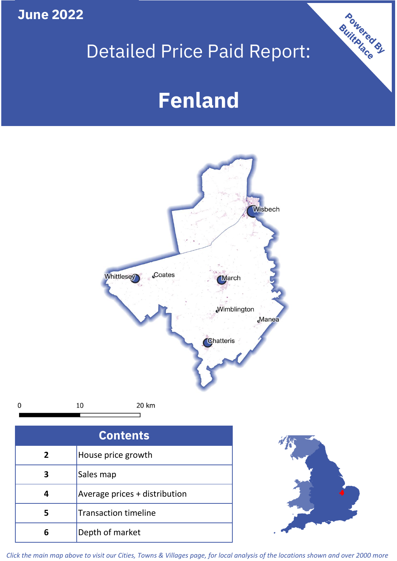**June 2022**

## Detailed Price Paid Report:

Powered By

# **Fenland**



*Click the main map above to visit our Cities, Towns & Villages page, for local analysis of the locations shown and over 2000 more*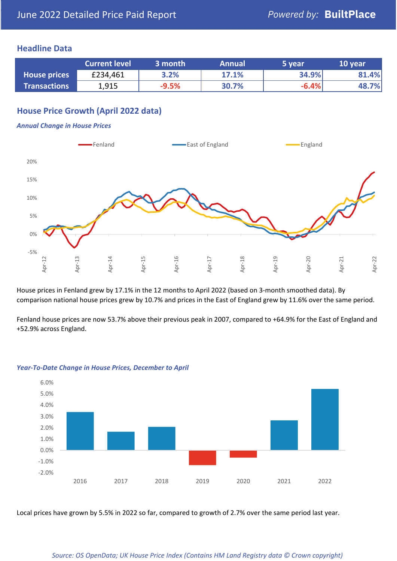## **Headline Data**

|                     | <b>Current level</b> | 3 month | <b>Annual</b> | 5 year  | 10 year |
|---------------------|----------------------|---------|---------------|---------|---------|
| <b>House prices</b> | £234,461             | 3.2%    | 17.1%         | 34.9%   | 81.4%   |
| <b>Transactions</b> | 1,915                | $-9.5%$ | 30.7%         | $-6.4%$ | 48.7%   |

## **House Price Growth (April 2022 data)**

#### *Annual Change in House Prices*



House prices in Fenland grew by 17.1% in the 12 months to April 2022 (based on 3-month smoothed data). By comparison national house prices grew by 10.7% and prices in the East of England grew by 11.6% over the same period.

Fenland house prices are now 53.7% above their previous peak in 2007, compared to +64.9% for the East of England and +52.9% across England.



#### *Year-To-Date Change in House Prices, December to April*

Local prices have grown by 5.5% in 2022 so far, compared to growth of 2.7% over the same period last year.

#### *Source: OS OpenData; UK House Price Index (Contains HM Land Registry data © Crown copyright)*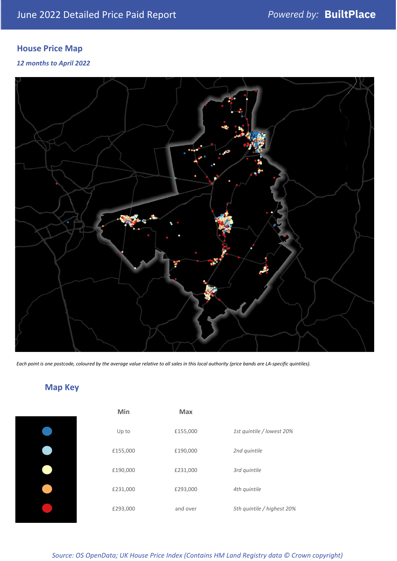## **House Price Map**

#### *12 months to April 2022*



*Each point is one postcode, coloured by the average value relative to all sales in this local authority (price bands are LA-specific quintiles).*

## **Map Key**

| Min      | Max      |                            |
|----------|----------|----------------------------|
| Up to    | £155,000 | 1st quintile / lowest 20%  |
| £155,000 | £190,000 | 2nd quintile               |
| £190,000 | £231,000 | 3rd quintile               |
| £231,000 | £293,000 | 4th quintile               |
| £293,000 | and over | 5th quintile / highest 20% |

*Source: OS OpenData; UK House Price Index (Contains HM Land Registry data © Crown copyright)*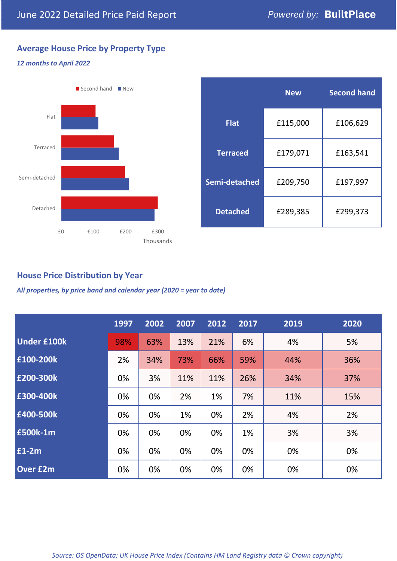## **Average House Price by Property Type**

## *12 months to April 2022*



|                 | <b>New</b> | <b>Second hand</b> |  |  |
|-----------------|------------|--------------------|--|--|
| <b>Flat</b>     | £115,000   | £106,629           |  |  |
| <b>Terraced</b> | £179,071   | £163,541           |  |  |
| Semi-detached   | £209,750   | £197,997           |  |  |
| <b>Detached</b> | £289,385   | £299,373           |  |  |

## **House Price Distribution by Year**

*All properties, by price band and calendar year (2020 = year to date)*

|                    | 1997 | 2002 | 2007 | 2012 | 2017 | 2019 | 2020 |
|--------------------|------|------|------|------|------|------|------|
| <b>Under £100k</b> | 98%  | 63%  | 13%  | 21%  | 6%   | 4%   | 5%   |
| £100-200k          | 2%   | 34%  | 73%  | 66%  | 59%  | 44%  | 36%  |
| E200-300k          | 0%   | 3%   | 11%  | 11%  | 26%  | 34%  | 37%  |
| E300-400k          | 0%   | 0%   | 2%   | 1%   | 7%   | 11%  | 15%  |
| £400-500k          | 0%   | 0%   | 1%   | 0%   | 2%   | 4%   | 2%   |
| <b>E500k-1m</b>    | 0%   | 0%   | 0%   | 0%   | 1%   | 3%   | 3%   |
| $E1-2m$            | 0%   | 0%   | 0%   | 0%   | 0%   | 0%   | 0%   |
| <b>Over £2m</b>    | 0%   | 0%   | 0%   | 0%   | 0%   | 0%   | 0%   |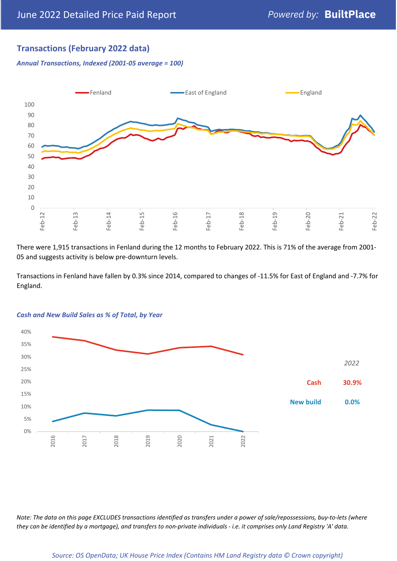## **Transactions (February 2022 data)**

*Annual Transactions, Indexed (2001-05 average = 100)*



There were 1,915 transactions in Fenland during the 12 months to February 2022. This is 71% of the average from 2001- 05 and suggests activity is below pre-downturn levels.

Transactions in Fenland have fallen by 0.3% since 2014, compared to changes of -11.5% for East of England and -7.7% for England.



#### *Cash and New Build Sales as % of Total, by Year*

*Note: The data on this page EXCLUDES transactions identified as transfers under a power of sale/repossessions, buy-to-lets (where they can be identified by a mortgage), and transfers to non-private individuals - i.e. it comprises only Land Registry 'A' data.*